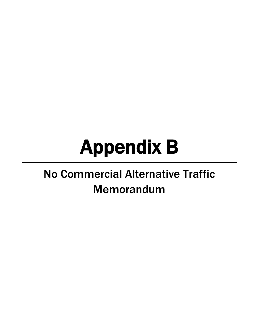# Appendix B

## No Commercial Alternative Traffic Memorandum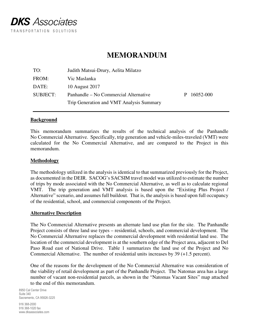

### **MEMORANDUM**

| Judith Matsui-Drury, Aelita Milatzo      |    |           |
|------------------------------------------|----|-----------|
| Vic Maslanka                             |    |           |
| 10 August 2017                           |    |           |
| Panhandle – No Commercial Alternative    | P. | 16052-000 |
| Trip Generation and VMT Analysis Summary |    |           |
|                                          |    |           |

#### **Background**

This memorandum summarizes the results of the technical analysis of the Panhandle No Commercial Alternative. Specifically, trip generation and vehicle-miles-traveled (VMT) were calculated for the No Commercial Alternative, and are compared to the Project in this memorandum.

#### **Methodology**

The methodology utilized in the analysis is identical to that summarized previously for the Project, as documented in the DEIR. SACOG's SACSIM travel model was utilized to estimate the number of trips by mode associated with the No Commercial Alternative, as well as to calculate regional VMT. The trip generation and VMT analysis is based upon the "Existing Plus Project / Alternative" scenario, and assumes full buildout. That is, the analysis is based upon full occupancy of the residential, school, and commercial components of the Project.

#### **Alternative Description**

The No Commercial Alternative presents an alternate land use plan for the site. The Panhandle Project consists of three land use types – residential, schools, and commercial development. The No Commercial Alternative replaces the commercial development with residential land use. The location of the commercial development is at the southern edge of the Project area, adjacent to Del Paso Road east of National Drive. Table 1 summarizes the land use of the Project and No Commercial Alternative. The number of residential units increases by 39 (+1.5 percent).

One of the reasons for the development of the No Commercial Alternative was consideration of the viability of retail development as part of the Panhandle Project. The Natomas area has a large number of vacant non-residential parcels, as shown in the "Natomas Vacant Sites" map attached to the end of this memorandum.

8950 Cal Center Drive Suite 340 Sacramento, CA 95826-3225

916 368-2000 916 368-1020 fax www.dksassociates.com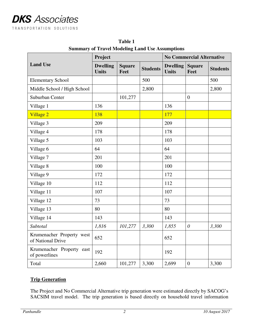|                                                | Project                         |                       |                 | <b>No Commercial Alternative</b> |                       |                 |  |  |
|------------------------------------------------|---------------------------------|-----------------------|-----------------|----------------------------------|-----------------------|-----------------|--|--|
| <b>Land Use</b>                                | <b>Dwelling</b><br><b>Units</b> | <b>Square</b><br>Feet | <b>Students</b> | <b>Dwelling</b><br><b>Units</b>  | <b>Square</b><br>Feet | <b>Students</b> |  |  |
| <b>Elementary School</b>                       |                                 |                       | 500             |                                  |                       | 500             |  |  |
| Middle School / High School                    |                                 |                       | 2,800           |                                  |                       | 2,800           |  |  |
| Suburban Center                                |                                 | 101,277               |                 |                                  | $\boldsymbol{0}$      |                 |  |  |
| Village 1                                      | 136                             |                       |                 | 136                              |                       |                 |  |  |
| Village 2                                      | 138                             |                       |                 | 177                              |                       |                 |  |  |
| Village 3                                      | 209                             |                       |                 | 209                              |                       |                 |  |  |
| Village 4                                      | 178                             |                       |                 | 178                              |                       |                 |  |  |
| Village 5                                      | 103                             |                       |                 | 103                              |                       |                 |  |  |
| Village 6                                      | 64                              |                       |                 | 64                               |                       |                 |  |  |
| Village 7                                      | 201                             |                       |                 | 201                              |                       |                 |  |  |
| Village 8                                      | 100                             |                       |                 | 100                              |                       |                 |  |  |
| Village 9                                      | 172                             |                       |                 | 172                              |                       |                 |  |  |
| Village 10                                     | 112                             |                       |                 | 112                              |                       |                 |  |  |
| Village 11                                     | 107                             |                       |                 | 107                              |                       |                 |  |  |
| Village 12                                     | 73                              |                       |                 | 73                               |                       |                 |  |  |
| Village 13                                     | 80                              |                       |                 | 80                               |                       |                 |  |  |
| Village 14                                     | 143                             |                       |                 | 143                              |                       |                 |  |  |
| Subtotal                                       | 1,816                           | 101,277               | 3,300           | 1,855                            | $\theta$              | 3,300           |  |  |
| Krumenacher Property west<br>of National Drive | 652                             |                       |                 | 652                              |                       |                 |  |  |
| Krumenacher Property east<br>of powerlines     | 192                             |                       |                 | 192                              |                       |                 |  |  |
| Total                                          | 2,660                           | 101,277               | 3,300           | 2,699                            | $\boldsymbol{0}$      | 3,300           |  |  |

**Table 1 Summary of Travel Modeling Land Use Assumptions** 

#### **Trip Generation**

The Project and No Commercial Alternative trip generation were estimated directly by SACOG's SACSIM travel model. The trip generation is based directly on household travel information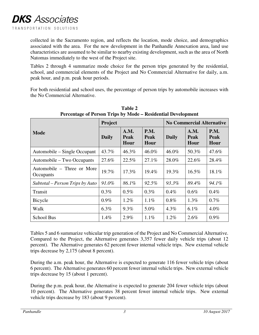collected in the Sacramento region, and reflects the location, mode choice, and demographics associated with the area. For the new development in the Panhandle Annexation area, land use characteristics are assumed to be similar to nearby existing development, such as the area of North Natomas immediately to the west of the Project site.

Tables 2 through 4 summarize mode choice for the person trips generated by the residential, school, and commercial elements of the Project and No Commercial Alternative for daily, a.m. peak hour, and p.m. peak hour periods.

For both residential and school uses, the percentage of person trips by automobile increases with the No Commercial Alternative.

| I creentage of I croon Trips by Mouel Residential Development |              |                             |                                    |                                  |                      |                                    |  |  |  |  |  |
|---------------------------------------------------------------|--------------|-----------------------------|------------------------------------|----------------------------------|----------------------|------------------------------------|--|--|--|--|--|
|                                                               | Project      |                             |                                    | <b>No Commercial Alternative</b> |                      |                                    |  |  |  |  |  |
| <b>Mode</b>                                                   | <b>Daily</b> | A.M.<br><b>Peak</b><br>Hour | <b>P.M.</b><br><b>Peak</b><br>Hour | <b>Daily</b>                     | A.M.<br>Peak<br>Hour | <b>P.M.</b><br><b>Peak</b><br>Hour |  |  |  |  |  |
| Automobile – Single Occupant                                  | 43.7%        | 46.3%                       | 46.0%                              | 46.0%                            | 50.3%                | 47.6%                              |  |  |  |  |  |
| Automobile – Two Occupants                                    | 27.6%        | 22.5%                       | 27.1%                              | 28.0%                            | 22.6%                | 28.4%                              |  |  |  |  |  |
| Automobile – Three or More<br>Occupants                       | 19.7%        | 17.3%                       | 19.4%                              | 19.3%                            | $16.5\%$             | 18.1%                              |  |  |  |  |  |
| Subtotal – Person Trips by Auto                               | 91.0%        | 86.1%                       | 92.5%                              | 93.3%                            | 89.4%                | 94.1%                              |  |  |  |  |  |
| Transit                                                       | 0.3%         | 0.5%                        | 0.3%                               | $0.4\%$                          | 0.6%                 | 0.4%                               |  |  |  |  |  |
| Bicycle                                                       | $0.9\%$      | $1.2\%$                     | $1.1\%$                            | $0.8\%$                          | $1.3\%$              | $0.7\%$                            |  |  |  |  |  |
| Walk                                                          | $6.3\%$      | $9.3\%$                     | 5.0%                               | $4.3\%$                          | 6.1%                 | $4.0\%$                            |  |  |  |  |  |
| School Bus                                                    | 1.4%         | 2.9%                        | 1.1%                               | 1.2%                             | 2.6%                 | $0.9\%$                            |  |  |  |  |  |

**Table 2 Percentage of Person Trips by Mode – Residential Development** 

Tables 5 and 6 summarize vehicular trip generation of the Project and No Commercial Alternative. Compared to the Project, the Alternative generates 3,357 fewer daily vehicle trips (about 12 percent). The Alternative generates 62 percent fewer internal vehicle trips. New external vehicle trips decrease by 2,175 (about 8 percent).

During the a.m. peak hour, the Alternative is expected to generate 116 fewer vehicle trips (about 6 percent). The Alternative generates 60 percent fewer internal vehicle trips. New external vehicle trips decrease by 15 (about 1 percent).

During the p.m. peak hour, the Alternative is expected to generate 204 fewer vehicle trips (about 10 percent). The Alternative generates 38 percent fewer internal vehicle trips. New external vehicle trips decrease by 183 (about 9 percent).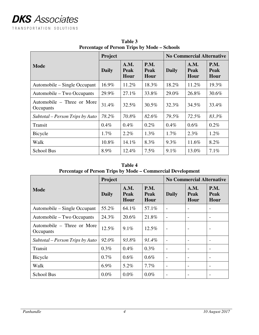|                                         | Project                                                                           |         |              | <b>No Commercial Alternative</b> |                                    |       |  |  |
|-----------------------------------------|-----------------------------------------------------------------------------------|---------|--------------|----------------------------------|------------------------------------|-------|--|--|
| <b>Mode</b>                             | <b>P.M.</b><br>A.M.<br><b>Daily</b><br><b>Peak</b><br><b>Peak</b><br>Hour<br>Hour |         | <b>Daily</b> | A.M.<br><b>Peak</b><br>Hour      | <b>P.M.</b><br><b>Peak</b><br>Hour |       |  |  |
| Automobile – Single Occupant            | 16.9%                                                                             | 11.2%   | 18.3%        | 18.2%                            | 11.2%                              | 19.3% |  |  |
| Automobile – Two Occupants              | 29.9%                                                                             | 27.1%   | 33.8%        | 29.0%                            | 26.8%                              | 30.6% |  |  |
| Automobile – Three or More<br>Occupants | 31.4%                                                                             | 32.5%   | 30.5%        | 32.3%                            | 34.5%                              | 33.4% |  |  |
| Subtotal – Person Trips by Auto         | 78.2%                                                                             | 70.8%   | 82.6%        | 79.5%                            | 72.5%                              | 83.3% |  |  |
| Transit                                 | 0.4%                                                                              | $0.4\%$ | $0.2\%$      | $0.4\%$                          | $0.6\%$                            | 0.2%  |  |  |
| Bicycle                                 | $1.7\%$                                                                           | 2.2%    | $1.3\%$      | $1.7\%$                          | $2.3\%$                            | 1.2%  |  |  |
| Walk                                    | 10.8%                                                                             | 14.1%   | 8.3%         | 9.3%                             | 11.6%                              | 8.2%  |  |  |
| School Bus                              | 8.9%                                                                              | 12.4%   | 7.5%         | 9.1%                             | 13.0%                              | 7.1%  |  |  |

**Table 3 Percentage of Person Trips by Mode – Schools** 

#### **Table 4 Percentage of Person Trips by Mode – Commercial Development**

|                                         | Project      |                             |                                    | <b>No Commercial Alternative</b> |                             |                                    |  |  |
|-----------------------------------------|--------------|-----------------------------|------------------------------------|----------------------------------|-----------------------------|------------------------------------|--|--|
| Mode                                    | <b>Daily</b> | A.M.<br><b>Peak</b><br>Hour | <b>P.M.</b><br><b>Peak</b><br>Hour | <b>Daily</b>                     | A.M.<br><b>Peak</b><br>Hour | <b>P.M.</b><br><b>Peak</b><br>Hour |  |  |
| Automobile – Single Occupant            | 55.2%        | 64.1%                       | 57.1%                              |                                  | $\overline{\phantom{0}}$    | $\overline{a}$                     |  |  |
| Automobile – Two Occupants              | 24.3%        | 20.6%                       | 21.8%                              |                                  |                             | $\overline{\phantom{0}}$           |  |  |
| Automobile – Three or More<br>Occupants | 12.5%        | 9.1%                        | 12.5%                              |                                  |                             | $\overline{\phantom{a}}$           |  |  |
| Subtotal – Person Trips by Auto         | 92.0%        | 93.8%                       | 91.4%                              | $\overline{\phantom{0}}$         | $\overline{\phantom{a}}$    | $\overline{\phantom{a}}$           |  |  |
| Transit                                 | $0.3\%$      | $0.4\%$                     | 0.3%                               |                                  | $\overline{a}$              | $\overline{a}$                     |  |  |
| Bicycle                                 | $0.7\%$      | $0.6\%$                     | $0.6\%$                            |                                  |                             |                                    |  |  |
| Walk                                    | $6.9\%$      | 5.2%                        | 7.7%                               | $\overline{a}$                   |                             | $\overline{a}$                     |  |  |
| <b>School Bus</b>                       | $0.0\%$      | $0.0\%$                     | $0.0\%$                            |                                  |                             |                                    |  |  |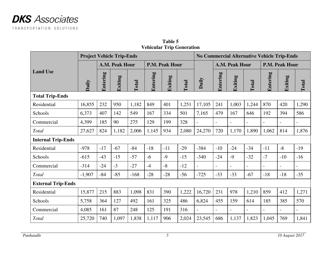

| <b>Project Vehicle Trip-Ends</b> |          |                |         |        |                 |                |              |                | <b>No Commercial Alternative Vehicle Trip-Ends</b> |                |                          |                          |                          |                          |
|----------------------------------|----------|----------------|---------|--------|-----------------|----------------|--------------|----------------|----------------------------------------------------|----------------|--------------------------|--------------------------|--------------------------|--------------------------|
|                                  |          | A.M. Peak Hour |         |        |                 | P.M. Peak Hour |              |                | A.M. Peak Hour                                     |                |                          | <b>P.M. Peak Hour</b>    |                          |                          |
| <b>Land Use</b>                  | Daily    | Entering       | Exiting | Total  | <b>Entering</b> | Exiting        | <b>Total</b> | Daily          | Entering                                           | Exiting        | <b>Total</b>             | Entering                 | Exiting                  | Total                    |
| <b>Total Trip-Ends</b>           |          |                |         |        |                 |                |              |                |                                                    |                |                          |                          |                          |                          |
| Residential                      | 16,855   | 232            | 950     | 1,182  | 849             | 401            | 1,251        | 17,105         | 241                                                | 1,003          | 1,244                    | 870                      | 420                      | 1,290                    |
| Schools                          | 6,373    | 407            | 142     | 549    | 167             | 334            | 501          | 7,165          | 479                                                | 167            | 646                      | 192                      | 394                      | 586                      |
| Commercial                       | 4,399    | 185            | 90      | 275    | 129             | 199            | 328          |                | $\overline{a}$                                     |                | $\blacksquare$           | $\overline{a}$           |                          |                          |
| Total                            | 27,627   | 824            | 1,182   | 2,006  | 1,145           | 934            | 2,080        | 24,270         | 720                                                | 1,170          | 1,890                    | 1,062                    | 814                      | 1,876                    |
| <b>Internal Trip-Ends</b>        |          |                |         |        |                 |                |              |                |                                                    |                |                          |                          |                          |                          |
| Residential                      | $-978$   | $-17$          | $-67$   | $-84$  | $-18$           | $-11$          | $-29$        | $-384$         | $-10$                                              | $-24$          | $-34$                    | $-11$                    | $-8$                     | $-19$                    |
| Schools                          | $-615$   | $-43$          | $-15$   | $-57$  | $-6$            | $-9$           | $-15$        | $-340$         | $-24$                                              | $-9$           | $-32$                    | $-7$                     | $-10$                    | $-16$                    |
| Commercial                       | $-314$   | $-24$          | $-3$    | $-27$  | $-4$            | $-8$           | $-12$        | $\blacksquare$ | $\overline{\phantom{0}}$                           | $\blacksquare$ | $\overline{\phantom{a}}$ | $\overline{\phantom{a}}$ | $\overline{\phantom{0}}$ | $\overline{\phantom{a}}$ |
| Total                            | $-1,907$ | $-84$          | $-85$   | $-168$ | $-28$           | $-28$          | $-56$        | $-725$         | $-33$                                              | $-33$          | $-67$                    | $-18$                    | $-18$                    | $-35$                    |
| <b>External Trip-Ends</b>        |          |                |         |        |                 |                |              |                |                                                    |                |                          |                          |                          |                          |
| Residential                      | 15,877   | 215            | 883     | 1,098  | 831             | 390            | 1,222        | 16,720         | 231                                                | 978            | 1,210                    | 859                      | 412                      | 1,271                    |
| Schools                          | 5,758    | 364            | 127     | 492    | 161             | 325            | 486          | 6,824          | 455                                                | 159            | 614                      | 185                      | 385                      | 570                      |
| Commercial                       | 4,085    | 161            | 87      | 248    | 125             | 191            | 316          |                |                                                    |                | $\overline{\phantom{a}}$ | $\overline{\phantom{0}}$ |                          |                          |
| Total                            | 25,720   | 740            | 1,097   | 1,838  | 1,117           | 906            | 2,024        | 23,545         | 686                                                | 1,137          | 1,823                    | 1,045                    | 769                      | 1,841                    |

**Table 5 Vehicular Trip Generation**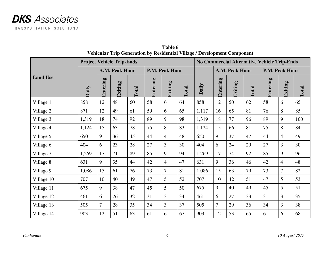

|                 |                |                | <b>Project Vehicle Trip-Ends</b> |              |                       |                |              | <b>No Commercial Alternative Vehicle Trip-Ends</b> |                 |         |                       |          |                |       |
|-----------------|----------------|----------------|----------------------------------|--------------|-----------------------|----------------|--------------|----------------------------------------------------|-----------------|---------|-----------------------|----------|----------------|-------|
|                 | A.M. Peak Hour |                |                                  |              | <b>P.M. Peak Hour</b> |                |              | A.M. Peak Hour                                     |                 |         | <b>P.M. Peak Hour</b> |          |                |       |
| <b>Land Use</b> | Daily          | Entering       | Exiting                          | <b>Total</b> | Entering              | Exiting        | <b>Total</b> | Daily                                              | <b>Entering</b> | Exiting | <b>Total</b>          | Entering | Exiting        | Total |
| Village 1       | 858            | 12             | 48                               | 60           | 58                    | 6              | 64           | 858                                                | 12              | 50      | 62                    | 58       | 6              | 65    |
| Village 2       | 871            | 12             | 49                               | 61           | 59                    | 6              | 65           | 1,117                                              | 16              | 65      | 81                    | 76       | 8              | 85    |
| Village 3       | 1,319          | 18             | 74                               | 92           | 89                    | 9              | 98           | 1,319                                              | 18              | 77      | 96                    | 89       | 9              | 100   |
| Village 4       | 1,124          | 15             | 63                               | 78           | 75                    | 8              | 83           | 1,124                                              | 15              | 66      | 81                    | 75       | 8              | 84    |
| Village 5       | 650            | 9              | 36                               | 45           | 44                    | $\overline{4}$ | 48           | 650                                                | 9               | 37      | 47                    | 44       | $\overline{4}$ | 49    |
| Village 6       | 404            | 6              | 23                               | 28           | 27                    | 3              | 30           | 404                                                | 6               | 24      | 29                    | 27       | 3              | 30    |
| Village 7       | 1,269          | 17             | 71                               | 89           | 85                    | 9              | 94           | 1,269                                              | 17              | 74      | 92                    | 85       | 9              | 96    |
| Village 8       | 631            | 9              | 35                               | 44           | 42                    | $\overline{4}$ | 47           | 631                                                | 9               | 36      | 46                    | 42       | $\overline{4}$ | 48    |
| Village 9       | 1,086          | 15             | 61                               | 76           | 73                    | $\overline{7}$ | 81           | 1,086                                              | 15              | 63      | 79                    | 73       | $\overline{7}$ | 82    |
| Village 10      | 707            | 10             | 40                               | 49           | 47                    | 5              | 52           | 707                                                | 10              | 42      | 51                    | 47       | 5              | 53    |
| Village 11      | 675            | 9              | 38                               | 47           | 45                    | 5              | 50           | 675                                                | 9               | 40      | 49                    | 45       | 5              | 51    |
| Village 12      | 461            | 6              | 26                               | 32           | 31                    | 3              | 34           | 461                                                | 6               | 27      | 33                    | 31       | 3              | 35    |
| Village 13      | 505            | $\overline{7}$ | 28                               | 35           | 34                    | 3              | 37           | 505                                                | $\overline{7}$  | 29      | 36                    | 34       | 3              | 38    |
| Village 14      | 903            | 12             | 51                               | 63           | 61                    | 6              | 67           | 903                                                | 12              | 53      | 65                    | 61       | 6              | 68    |

**Table 6 Vehicular Trip Generation by Residential Village / Development Component**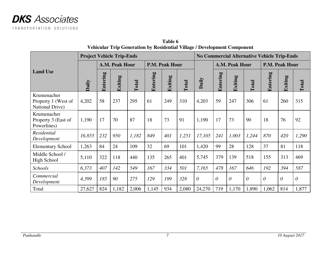

|                                                       |                |          | <b>Project Vehicle Trip-Ends</b> |       |                 |         |       | <b>No Commercial Alternative Vehicle Trip-Ends</b> |          |          |                |          |          |          |
|-------------------------------------------------------|----------------|----------|----------------------------------|-------|-----------------|---------|-------|----------------------------------------------------|----------|----------|----------------|----------|----------|----------|
|                                                       | A.M. Peak Hour |          |                                  |       | P.M. Peak Hour  |         |       | A.M. Peak Hour                                     |          |          | P.M. Peak Hour |          |          |          |
| <b>Land Use</b>                                       | Daily          | Entering | Exiting                          | Total | <b>Entering</b> | Exiting | Total | Daily                                              | Entering | Exiting  | <b>Total</b>   | Entering | Exiting  | Total    |
| Krumenacher<br>Property 1 (West of<br>National Drive) | 4,202          | 58       | 237                              | 295   | 61              | 249     | 310   | 4,203                                              | 59       | 247      | 306            | 61       | 260      | 315      |
| Krumenacher<br>Property 3 (East of<br>Powerlines)     | 1,190          | 17       | 70                               | 87    | 18              | 73      | 91    | 1,190                                              | 17       | 73       | 90             | 18       | 76       | 92       |
| Residential<br>Development                            | 16,855         | 232      | 950                              | 1,182 | 849             | 401     | 1,251 | 17,105                                             | 241      | 1,003    | 1,244          | 870      | 420      | 1,290    |
| <b>Elementary School</b>                              | 1,263          | 84       | 24                               | 109   | 32              | 69      | 101   | 1,420                                              | 99       | 28       | 128            | 37       | 81       | 118      |
| Middle School /<br>High School                        | 5,110          | 322      | 118                              | 440   | 135             | 265     | 401   | 5,745                                              | 379      | 139      | 518            | 155      | 313      | 469      |
| Schools                                               | 6,373          | 407      | 142                              | 549   | 167             | 334     | 501   | 7,165                                              | 478      | 167      | 646            | 192      | 394      | 587      |
| Commercial<br>Development                             | 4,399          | 185      | 90                               | 275   | 129             | 199     | 328   | $\theta$                                           | $\theta$ | $\theta$ | $\theta$       | $\theta$ | $\theta$ | $\theta$ |
| Total                                                 | 27,627         | 824      | 1,182                            | 2,006 | 1,145           | 934     | 2,080 | 24,270                                             | 719      | 1,170    | 1,890          | 1,062    | 814      | 1,877    |

**Table 6 Vehicular Trip Generation by Residential Village / Development Component**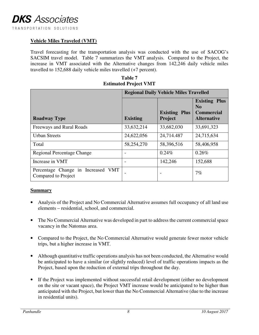#### **Vehicle Miles Traveled (VMT)**

Travel forecasting for the transportation analysis was conducted with the use of SACOG's SACSIM travel model. Table 7 summarizes the VMT analysis. Compared to the Project, the increase in VMT associated with the Alternative changes from 142,246 daily vehicle miles travelled to 152,688 daily vehicle miles travelled (+7 percent).

| Table 7                      |
|------------------------------|
| <b>Estimated Project VMT</b> |

|                                                           | <b>Regional Daily Vehicle Miles Travelled</b> |                                 |                                                                       |  |  |  |  |  |  |  |
|-----------------------------------------------------------|-----------------------------------------------|---------------------------------|-----------------------------------------------------------------------|--|--|--|--|--|--|--|
| <b>Roadway Type</b>                                       | <b>Existing</b>                               | <b>Existing Plus</b><br>Project | <b>Existing Plus</b><br>No<br><b>Commercial</b><br><b>Alternative</b> |  |  |  |  |  |  |  |
| Freeways and Rural Roads                                  | 33,632,214                                    | 33,682,030                      | 33,691,323                                                            |  |  |  |  |  |  |  |
| <b>Urban Streets</b>                                      | 24,622,056                                    | 24,714.487                      | 24,715,634                                                            |  |  |  |  |  |  |  |
| Total                                                     | 58,254,270                                    | 58,396,516                      | 58,406,958                                                            |  |  |  |  |  |  |  |
| <b>Regional Percentage Change</b>                         |                                               | 0.24%                           | 0.26%                                                                 |  |  |  |  |  |  |  |
| Increase in VMT                                           |                                               | 142,246                         | 152,688                                                               |  |  |  |  |  |  |  |
| Percentage Change in Increased VMT<br>Compared to Project |                                               |                                 | 7%                                                                    |  |  |  |  |  |  |  |

#### **Summary**

- Analysis of the Project and No Commercial Alternative assumes full occupancy of all land use elements – residential, school, and commercial.
- The No Commercial Alternative was developed in part to address the current commercial space vacancy in the Natomas area.
- Compared to the Project, the No Commercial Alternative would generate fewer motor vehicle trips, but a higher increase in VMT.
- Although quantitative traffic operations analysis has not been conducted, the Alternative would be anticipated to have a similar (or slightly reduced) level of traffic operations impacts as the Project, based upon the reduction of external trips throughout the day.
- If the Project was implemented without successful retail development (either no development on the site or vacant space), the Project VMT increase would be anticipated to be higher than anticipated with the Project, but lower than the No Commercial Alternative (due to the increase in residential units).